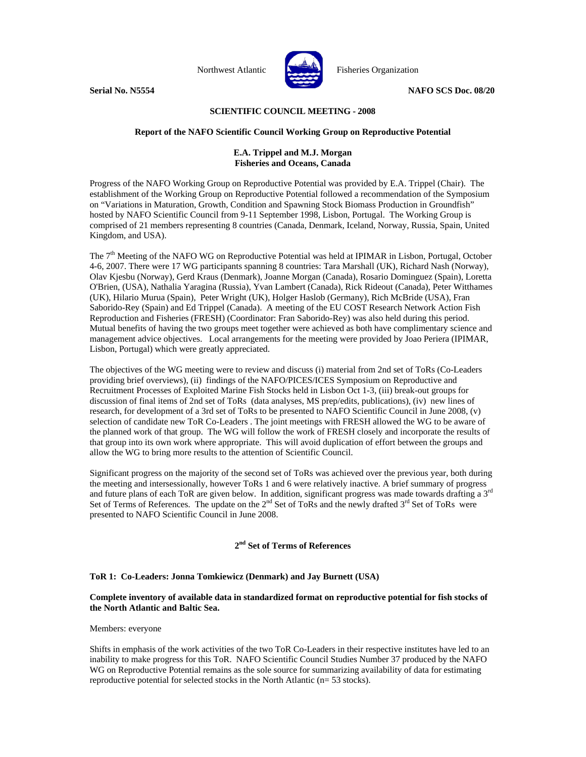

Northwest Atlantic **No. 1989** Fisheries Organization

**Serial No. N5554** NAFO SCS Doc. 08/20

# **SCIENTIFIC COUNCIL MEETING - 2008**

# **Report of the NAFO Scientific Council Working Group on Reproductive Potential**

# **E.A. Trippel and M.J. Morgan Fisheries and Oceans, Canada**

Progress of the NAFO Working Group on Reproductive Potential was provided by E.A. Trippel (Chair). The establishment of the Working Group on Reproductive Potential followed a recommendation of the Symposium on "Variations in Maturation, Growth, Condition and Spawning Stock Biomass Production in Groundfish" hosted by NAFO Scientific Council from 9-11 September 1998, Lisbon, Portugal. The Working Group is comprised of 21 members representing 8 countries (Canada, Denmark, Iceland, Norway, Russia, Spain, United Kingdom, and USA).

The 7<sup>th</sup> Meeting of the NAFO WG on Reproductive Potential was held at IPIMAR in Lisbon, Portugal, October 4-6, 2007. There were 17 WG participants spanning 8 countries: Tara Marshall (UK), Richard Nash (Norway), Olav Kjesbu (Norway), Gerd Kraus (Denmark), Joanne Morgan (Canada), Rosario Dominguez (Spain), Loretta O'Brien, (USA), Nathalia Yaragina (Russia), Yvan Lambert (Canada), Rick Rideout (Canada), Peter Witthames (UK), Hilario Murua (Spain), Peter Wright (UK), Holger Haslob (Germany), Rich McBride (USA), Fran Saborido-Rey (Spain) and Ed Trippel (Canada). A meeting of the EU COST Research Network Action Fish Reproduction and Fisheries (FRESH) (Coordinator: Fran Saborido-Rey) was also held during this period. Mutual benefits of having the two groups meet together were achieved as both have complimentary science and management advice objectives. Local arrangements for the meeting were provided by Joao Periera (IPIMAR, Lisbon, Portugal) which were greatly appreciated.

The objectives of the WG meeting were to review and discuss (i) material from 2nd set of ToRs (Co-Leaders providing brief overviews), (ii) findings of the NAFO/PICES/ICES Symposium on Reproductive and Recruitment Processes of Exploited Marine Fish Stocks held in Lisbon Oct 1-3, (iii) break-out groups for discussion of final items of 2nd set of ToRs (data analyses, MS prep/edits, publications), (iv) new lines of research, for development of a 3rd set of ToRs to be presented to NAFO Scientific Council in June 2008, (v) selection of candidate new ToR Co-Leaders . The joint meetings with FRESH allowed the WG to be aware of the planned work of that group. The WG will follow the work of FRESH closely and incorporate the results of that group into its own work where appropriate. This will avoid duplication of effort between the groups and allow the WG to bring more results to the attention of Scientific Council.

Significant progress on the majority of the second set of ToRs was achieved over the previous year, both during the meeting and intersessionally, however ToRs 1 and 6 were relatively inactive. A brief summary of progress and future plans of each ToR are given below. In addition, significant progress was made towards drafting a 3<sup>rd</sup> Set of Terms of References. The update on the  $2^{nd}$  Set of ToRs and the newly drafted  $3^{rd}$  Set of ToRs were presented to NAFO Scientific Council in June 2008.

# **2nd Set of Terms of References**

# **ToR 1: Co-Leaders: Jonna Tomkiewicz (Denmark) and Jay Burnett (USA)**

# **Complete inventory of available data in standardized format on reproductive potential for fish stocks of the North Atlantic and Baltic Sea.**

#### Members: everyone

Shifts in emphasis of the work activities of the two ToR Co-Leaders in their respective institutes have led to an inability to make progress for this ToR. NAFO Scientific Council Studies Number 37 produced by the NAFO WG on Reproductive Potential remains as the sole source for summarizing availability of data for estimating reproductive potential for selected stocks in the North Atlantic (n= 53 stocks).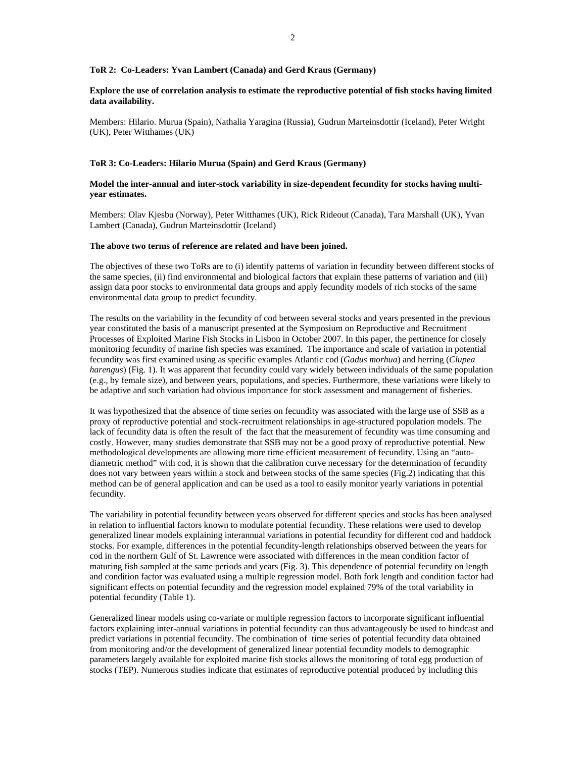#### **ToR 2: Co-Leaders: Yvan Lambert (Canada) and Gerd Kraus (Germany)**

# **Explore the use of correlation analysis to estimate the reproductive potential of fish stocks having limited data availability.**

Members: Hilario. Murua (Spain), Nathalia Yaragina (Russia), Gudrun Marteinsdottir (Iceland), Peter Wright (UK), Peter Witthames (UK)

#### **ToR 3: Co-Leaders: Hilario Murua (Spain) and Gerd Kraus (Germany)**

# **Model the inter-annual and inter-stock variability in size-dependent fecundity for stocks having multiyear estimates.**

Members: Olav Kjesbu (Norway), Peter Witthames (UK), Rick Rideout (Canada), Tara Marshall (UK), Yvan Lambert (Canada), Gudrun Marteinsdottir (Iceland)

#### **The above two terms of reference are related and have been joined.**

The objectives of these two ToRs are to (i) identify patterns of variation in fecundity between different stocks of the same species, (ii) find environmental and biological factors that explain these patterns of variation and (iii) assign data poor stocks to environmental data groups and apply fecundity models of rich stocks of the same environmental data group to predict fecundity.

The results on the variability in the fecundity of cod between several stocks and years presented in the previous year constituted the basis of a manuscript presented at the Symposium on Reproductive and Recruitment Processes of Exploited Marine Fish Stocks in Lisbon in October 2007. In this paper, the pertinence for closely monitoring fecundity of marine fish species was examined. The importance and scale of variation in potential fecundity was first examined using as specific examples Atlantic cod (*Gadus morhua*) and herring (*Clupea harengus*) (Fig. 1). It was apparent that fecundity could vary widely between individuals of the same population (e.g., by female size), and between years, populations, and species. Furthermore, these variations were likely to be adaptive and such variation had obvious importance for stock assessment and management of fisheries.

It was hypothesized that the absence of time series on fecundity was associated with the large use of SSB as a proxy of reproductive potential and stock-recruitment relationships in age-structured population models. The lack of fecundity data is often the result of the fact that the measurement of fecundity was time consuming and costly. However, many studies demonstrate that SSB may not be a good proxy of reproductive potential. New methodological developments are allowing more time efficient measurement of fecundity. Using an "autodiametric method" with cod, it is shown that the calibration curve necessary for the determination of fecundity does not vary between years within a stock and between stocks of the same species (Fig.2) indicating that this method can be of general application and can be used as a tool to easily monitor yearly variations in potential fecundity.

The variability in potential fecundity between years observed for different species and stocks has been analysed in relation to influential factors known to modulate potential fecundity. These relations were used to develop generalized linear models explaining interannual variations in potential fecundity for different cod and haddock stocks. For example, differences in the potential fecundity-length relationships observed between the years for cod in the northern Gulf of St. Lawrence were associated with differences in the mean condition factor of maturing fish sampled at the same periods and years (Fig. 3). This dependence of potential fecundity on length and condition factor was evaluated using a multiple regression model. Both fork length and condition factor had significant effects on potential fecundity and the regression model explained 79% of the total variability in potential fecundity (Table 1).

Generalized linear models using co-variate or multiple regression factors to incorporate significant influential factors explaining inter-annual variations in potential fecundity can thus advantageously be used to hindcast and predict variations in potential fecundity. The combination of time series of potential fecundity data obtained from monitoring and/or the development of generalized linear potential fecundity models to demographic parameters largely available for exploited marine fish stocks allows the monitoring of total egg production of stocks (TEP). Numerous studies indicate that estimates of reproductive potential produced by including this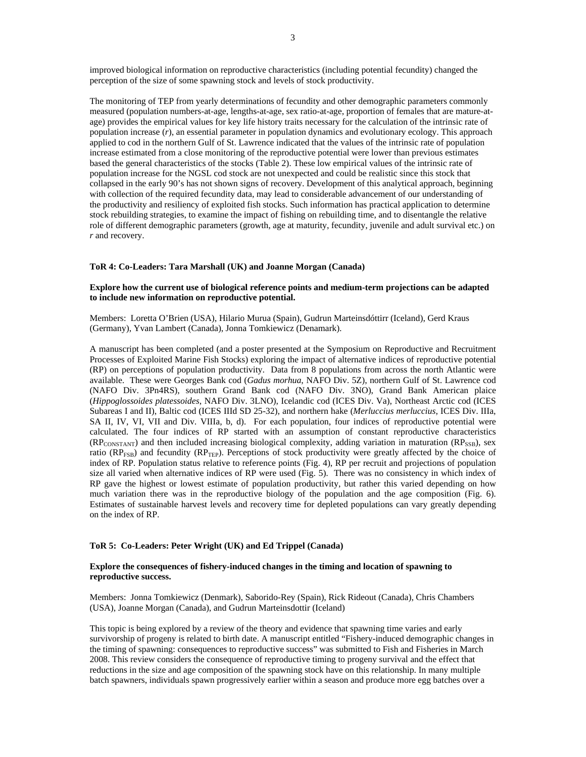improved biological information on reproductive characteristics (including potential fecundity) changed the perception of the size of some spawning stock and levels of stock productivity.

The monitoring of TEP from yearly determinations of fecundity and other demographic parameters commonly measured (population numbers-at-age, lengths-at-age, sex ratio-at-age, proportion of females that are mature-atage) provides the empirical values for key life history traits necessary for the calculation of the intrinsic rate of population increase (*r*), an essential parameter in population dynamics and evolutionary ecology. This approach applied to cod in the northern Gulf of St. Lawrence indicated that the values of the intrinsic rate of population increase estimated from a close monitoring of the reproductive potential were lower than previous estimates based the general characteristics of the stocks (Table 2). These low empirical values of the intrinsic rate of population increase for the NGSL cod stock are not unexpected and could be realistic since this stock that collapsed in the early 90's has not shown signs of recovery. Development of this analytical approach, beginning with collection of the required fecundity data, may lead to considerable advancement of our understanding of the productivity and resiliency of exploited fish stocks. Such information has practical application to determine stock rebuilding strategies, to examine the impact of fishing on rebuilding time, and to disentangle the relative role of different demographic parameters (growth, age at maturity, fecundity, juvenile and adult survival etc.) on *r* and recovery.

#### **ToR 4: Co-Leaders: Tara Marshall (UK) and Joanne Morgan (Canada)**

#### **Explore how the current use of biological reference points and medium-term projections can be adapted to include new information on reproductive potential.**

Members: Loretta O'Brien (USA), Hilario Murua (Spain), Gudrun Marteinsdóttirr (Iceland), Gerd Kraus (Germany), Yvan Lambert (Canada), Jonna Tomkiewicz (Denamark).

A manuscript has been completed (and a poster presented at the Symposium on Reproductive and Recruitment Processes of Exploited Marine Fish Stocks) exploring the impact of alternative indices of reproductive potential (RP) on perceptions of population productivity. Data from 8 populations from across the north Atlantic were available. These were Georges Bank cod (*Gadus morhua*, NAFO Div. 5Z), northern Gulf of St. Lawrence cod (NAFO Div. 3Pn4RS), southern Grand Bank cod (NAFO Div. 3NO), Grand Bank American plaice (*Hippoglossoides platessoides*, NAFO Div. 3LNO), Icelandic cod (ICES Div. Va), Northeast Arctic cod (ICES Subareas I and II), Baltic cod (ICES IIId SD 25-32), and northern hake (*Merluccius merluccius*, ICES Div. IIIa, SA II, IV, VI, VII and Div. VIIIa, b, d). For each population, four indices of reproductive potential were calculated. The four indices of RP started with an assumption of constant reproductive characteristics  $(RP_{\text{CONSTANT}})$  and then included increasing biological complexity, adding variation in maturation  $(RP_{\text{SSB}})$ , sex ratio ( $RP_{FSB}$ ) and fecundity ( $RP_{TEP}$ ). Perceptions of stock productivity were greatly affected by the choice of index of RP. Population status relative to reference points (Fig. 4), RP per recruit and projections of population size all varied when alternative indices of RP were used (Fig. 5). There was no consistency in which index of RP gave the highest or lowest estimate of population productivity, but rather this varied depending on how much variation there was in the reproductive biology of the population and the age composition (Fig. 6). Estimates of sustainable harvest levels and recovery time for depleted populations can vary greatly depending on the index of RP.

# **ToR 5: Co-Leaders: Peter Wright (UK) and Ed Trippel (Canada)**

# **Explore the consequences of fishery-induced changes in the timing and location of spawning to reproductive success.**

Members: Jonna Tomkiewicz (Denmark), Saborido-Rey (Spain), Rick Rideout (Canada), Chris Chambers (USA), Joanne Morgan (Canada), and Gudrun Marteinsdottir (Iceland)

This topic is being explored by a review of the theory and evidence that spawning time varies and early survivorship of progeny is related to birth date. A manuscript entitled "Fishery-induced demographic changes in the timing of spawning: consequences to reproductive success" was submitted to Fish and Fisheries in March 2008. This review considers the consequence of reproductive timing to progeny survival and the effect that reductions in the size and age composition of the spawning stock have on this relationship. In many multiple batch spawners, individuals spawn progressively earlier within a season and produce more egg batches over a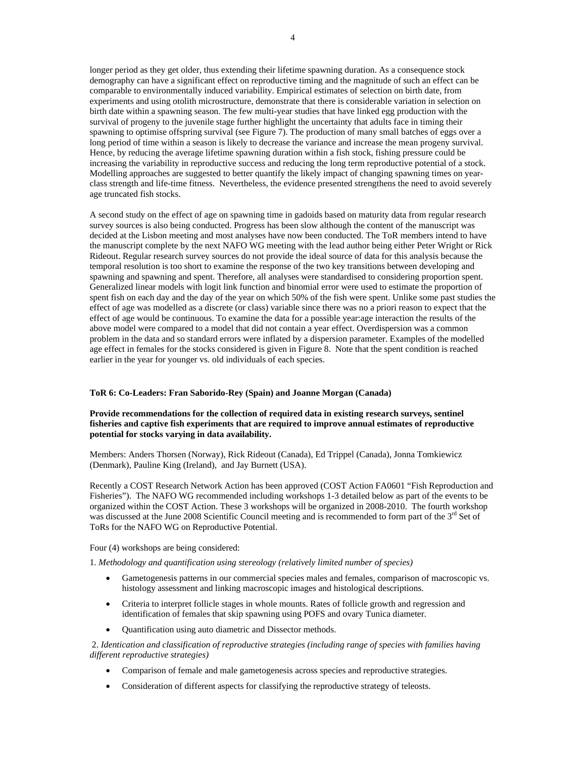longer period as they get older, thus extending their lifetime spawning duration. As a consequence stock demography can have a significant effect on reproductive timing and the magnitude of such an effect can be comparable to environmentally induced variability. Empirical estimates of selection on birth date, from experiments and using otolith microstructure, demonstrate that there is considerable variation in selection on birth date within a spawning season. The few multi-year studies that have linked egg production with the survival of progeny to the juvenile stage further highlight the uncertainty that adults face in timing their spawning to optimise offspring survival (see Figure 7). The production of many small batches of eggs over a long period of time within a season is likely to decrease the variance and increase the mean progeny survival. Hence, by reducing the average lifetime spawning duration within a fish stock, fishing pressure could be increasing the variability in reproductive success and reducing the long term reproductive potential of a stock. Modelling approaches are suggested to better quantify the likely impact of changing spawning times on yearclass strength and life-time fitness. Nevertheless, the evidence presented strengthens the need to avoid severely age truncated fish stocks.

A second study on the effect of age on spawning time in gadoids based on maturity data from regular research survey sources is also being conducted. Progress has been slow although the content of the manuscript was decided at the Lisbon meeting and most analyses have now been conducted. The ToR members intend to have the manuscript complete by the next NAFO WG meeting with the lead author being either Peter Wright or Rick Rideout. Regular research survey sources do not provide the ideal source of data for this analysis because the temporal resolution is too short to examine the response of the two key transitions between developing and spawning and spawning and spent. Therefore, all analyses were standardised to considering proportion spent. Generalized linear models with logit link function and binomial error were used to estimate the proportion of spent fish on each day and the day of the year on which 50% of the fish were spent. Unlike some past studies the effect of age was modelled as a discrete (or class) variable since there was no a priori reason to expect that the effect of age would be continuous. To examine the data for a possible year:age interaction the results of the above model were compared to a model that did not contain a year effect. Overdispersion was a common problem in the data and so standard errors were inflated by a dispersion parameter. Examples of the modelled age effect in females for the stocks considered is given in Figure 8. Note that the spent condition is reached earlier in the year for younger vs. old individuals of each species.

#### **ToR 6: Co-Leaders: Fran Saborido-Rey (Spain) and Joanne Morgan (Canada)**

#### **Provide recommendations for the collection of required data in existing research surveys, sentinel fisheries and captive fish experiments that are required to improve annual estimates of reproductive potential for stocks varying in data availability.**

Members: Anders Thorsen (Norway), Rick Rideout (Canada), Ed Trippel (Canada), Jonna Tomkiewicz (Denmark), Pauline King (Ireland), and Jay Burnett (USA).

Recently a COST Research Network Action has been approved (COST Action FA0601 "Fish Reproduction and Fisheries"). The NAFO WG recommended including workshops 1-3 detailed below as part of the events to be organized within the COST Action. These 3 workshops will be organized in 2008-2010. The fourth workshop was discussed at the June 2008 Scientific Council meeting and is recommended to form part of the  $3<sup>rd</sup>$  Set of ToRs for the NAFO WG on Reproductive Potential.

Four (4) workshops are being considered:

1. *Methodology and quantification using stereology (relatively limited number of species)*

- Gametogenesis patterns in our commercial species males and females, comparison of macroscopic vs. histology assessment and linking macroscopic images and histological descriptions.
- Criteria to interpret follicle stages in whole mounts. Rates of follicle growth and regression and identification of females that skip spawning using POFS and ovary Tunica diameter.
- Quantification using auto diametric and Dissector methods.

 2. *Identication and classification of reproductive strategies (including range of species with families having different reproductive strategies)* 

- Comparison of female and male gametogenesis across species and reproductive strategies.
- Consideration of different aspects for classifying the reproductive strategy of teleosts.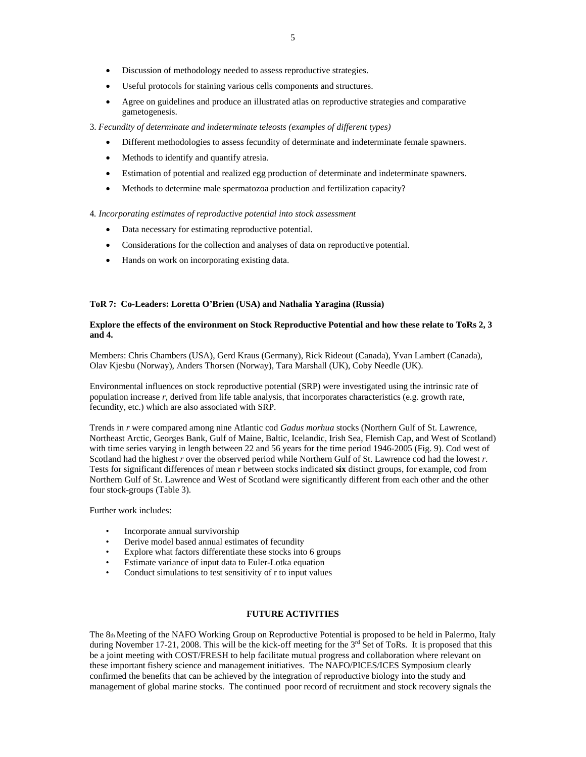- Discussion of methodology needed to assess reproductive strategies.
- Useful protocols for staining various cells components and structures.
- Agree on guidelines and produce an illustrated atlas on reproductive strategies and comparative gametogenesis.
- 3. *Fecundity of determinate and indeterminate teleosts (examples of different types)* 
	- Different methodologies to assess fecundity of determinate and indeterminate female spawners.
	- Methods to identify and quantify atresia.
	- Estimation of potential and realized egg production of determinate and indeterminate spawners.
	- Methods to determine male spermatozoa production and fertilization capacity?

4*. Incorporating estimates of reproductive potential into stock assessment*

- Data necessary for estimating reproductive potential.
- Considerations for the collection and analyses of data on reproductive potential.
- Hands on work on incorporating existing data.

#### **ToR 7: Co-Leaders: Loretta O'Brien (USA) and Nathalia Yaragina (Russia)**

#### **Explore the effects of the environment on Stock Reproductive Potential and how these relate to ToRs 2, 3 and 4.**

Members: Chris Chambers (USA), Gerd Kraus (Germany), Rick Rideout (Canada), Yvan Lambert (Canada), Olav Kjesbu (Norway), Anders Thorsen (Norway), Tara Marshall (UK), Coby Needle (UK).

Environmental influences on stock reproductive potential (SRP) were investigated using the intrinsic rate of population increase *r*, derived from life table analysis, that incorporates characteristics (e.g. growth rate, fecundity, etc.) which are also associated with SRP.

Trends in *r* were compared among nine Atlantic cod *Gadus morhua* stocks (Northern Gulf of St. Lawrence, Northeast Arctic, Georges Bank, Gulf of Maine, Baltic, Icelandic, Irish Sea, Flemish Cap, and West of Scotland) with time series varying in length between 22 and 56 years for the time period 1946-2005 (Fig. 9). Cod west of Scotland had the highest *r* over the observed period while Northern Gulf of St. Lawrence cod had the lowest *r*. Tests for significant differences of mean *r* between stocks indicated **six** distinct groups, for example, cod from Northern Gulf of St. Lawrence and West of Scotland were significantly different from each other and the other four stock-groups (Table 3).

Further work includes:

- Incorporate annual survivorship
- Derive model based annual estimates of fecundity
- Explore what factors differentiate these stocks into 6 groups
- Estimate variance of input data to Euler-Lotka equation
- Conduct simulations to test sensitivity of r to input values

# **FUTURE ACTIVITIES**

The 8th Meeting of the NAFO Working Group on Reproductive Potential is proposed to be held in Palermo, Italy during November 17-21, 2008. This will be the kick-off meeting for the 3<sup>rd</sup> Set of ToRs. It is proposed that this be a joint meeting with COST/FRESH to help facilitate mutual progress and collaboration where relevant on these important fishery science and management initiatives. The NAFO/PICES/ICES Symposium clearly confirmed the benefits that can be achieved by the integration of reproductive biology into the study and management of global marine stocks. The continued poor record of recruitment and stock recovery signals the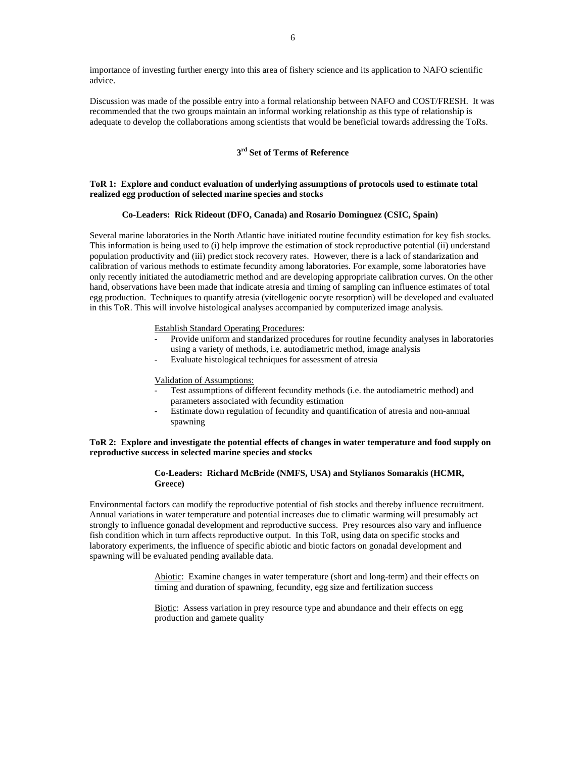importance of investing further energy into this area of fishery science and its application to NAFO scientific advice.

Discussion was made of the possible entry into a formal relationship between NAFO and COST/FRESH. It was recommended that the two groups maintain an informal working relationship as this type of relationship is adequate to develop the collaborations among scientists that would be beneficial towards addressing the ToRs.

# **3rd Set of Terms of Reference**

#### **ToR 1: Explore and conduct evaluation of underlying assumptions of protocols used to estimate total realized egg production of selected marine species and stocks**

# **Co-Leaders: Rick Rideout (DFO, Canada) and Rosario Dominguez (CSIC, Spain)**

Several marine laboratories in the North Atlantic have initiated routine fecundity estimation for key fish stocks. This information is being used to (i) help improve the estimation of stock reproductive potential (ii) understand population productivity and (iii) predict stock recovery rates. However, there is a lack of standarization and calibration of various methods to estimate fecundity among laboratories. For example, some laboratories have only recently initiated the autodiametric method and are developing appropriate calibration curves. On the other hand, observations have been made that indicate atresia and timing of sampling can influence estimates of total egg production. Techniques to quantify atresia (vitellogenic oocyte resorption) will be developed and evaluated in this ToR. This will involve histological analyses accompanied by computerized image analysis.

Establish Standard Operating Procedures:

- Provide uniform and standarized procedures for routine fecundity analyses in laboratories using a variety of methods, i.e. autodiametric method, image analysis
- Evaluate histological techniques for assessment of atresia

#### Validation of Assumptions:

- Test assumptions of different fecundity methods (i.e. the autodiametric method) and parameters associated with fecundity estimation
- Estimate down regulation of fecundity and quantification of atresia and non-annual spawning

# **ToR 2: Explore and investigate the potential effects of changes in water temperature and food supply on reproductive success in selected marine species and stocks**

# **Co-Leaders: Richard McBride (NMFS, USA) and Stylianos Somarakis (HCMR, Greece)**

Environmental factors can modify the reproductive potential of fish stocks and thereby influence recruitment. Annual variations in water temperature and potential increases due to climatic warming will presumably act strongly to influence gonadal development and reproductive success. Prey resources also vary and influence fish condition which in turn affects reproductive output. In this ToR, using data on specific stocks and laboratory experiments, the influence of specific abiotic and biotic factors on gonadal development and spawning will be evaluated pending available data.

> Abiotic: Examine changes in water temperature (short and long-term) and their effects on timing and duration of spawning, fecundity, egg size and fertilization success

Biotic: Assess variation in prey resource type and abundance and their effects on egg production and gamete quality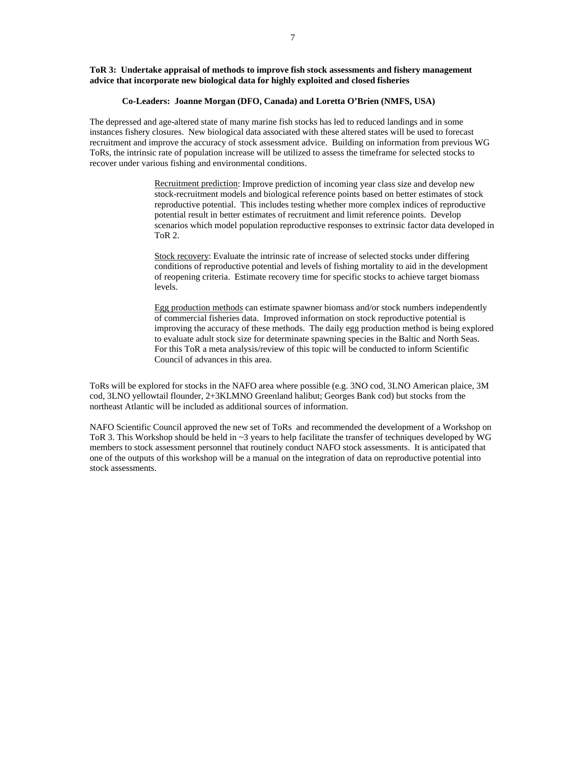#### **ToR 3: Undertake appraisal of methods to improve fish stock assessments and fishery management advice that incorporate new biological data for highly exploited and closed fisheries**

#### **Co-Leaders: Joanne Morgan (DFO, Canada) and Loretta O'Brien (NMFS, USA)**

The depressed and age-altered state of many marine fish stocks has led to reduced landings and in some instances fishery closures. New biological data associated with these altered states will be used to forecast recruitment and improve the accuracy of stock assessment advice. Building on information from previous WG ToRs, the intrinsic rate of population increase will be utilized to assess the timeframe for selected stocks to recover under various fishing and environmental conditions.

> Recruitment prediction: Improve prediction of incoming year class size and develop new stock-recruitment models and biological reference points based on better estimates of stock reproductive potential. This includes testing whether more complex indices of reproductive potential result in better estimates of recruitment and limit reference points. Develop scenarios which model population reproductive responses to extrinsic factor data developed in ToR 2.

Stock recovery: Evaluate the intrinsic rate of increase of selected stocks under differing conditions of reproductive potential and levels of fishing mortality to aid in the development of reopening criteria. Estimate recovery time for specific stocks to achieve target biomass levels.

Egg production methods can estimate spawner biomass and/or stock numbers independently of commercial fisheries data. Improved information on stock reproductive potential is improving the accuracy of these methods. The daily egg production method is being explored to evaluate adult stock size for determinate spawning species in the Baltic and North Seas. For this ToR a meta analysis/review of this topic will be conducted to inform Scientific Council of advances in this area.

ToRs will be explored for stocks in the NAFO area where possible (e.g. 3NO cod, 3LNO American plaice, 3M cod, 3LNO yellowtail flounder, 2+3KLMNO Greenland halibut; Georges Bank cod) but stocks from the northeast Atlantic will be included as additional sources of information.

NAFO Scientific Council approved the new set of ToRs and recommended the development of a Workshop on ToR 3. This Workshop should be held in ~3 years to help facilitate the transfer of techniques developed by WG members to stock assessment personnel that routinely conduct NAFO stock assessments. It is anticipated that one of the outputs of this workshop will be a manual on the integration of data on reproductive potential into stock assessments.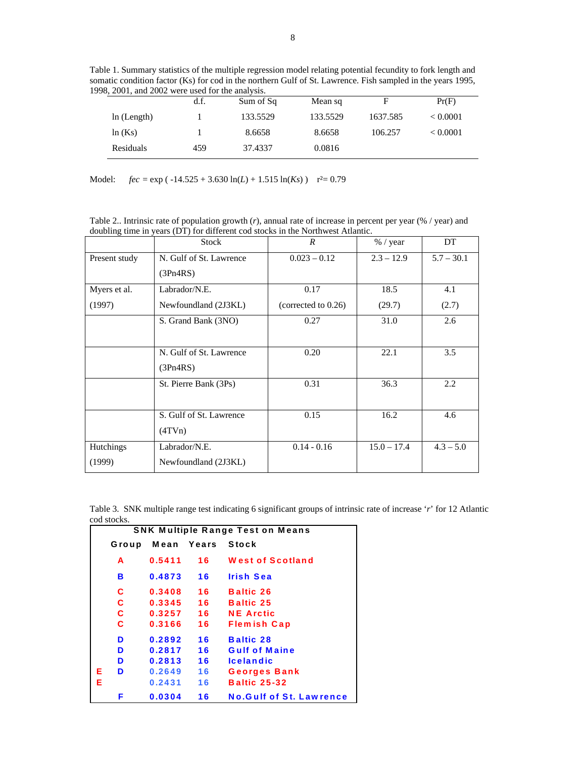Table 1. Summary statistics of the multiple regression model relating potential fecundity to fork length and somatic condition factor (Ks) for cod in the northern Gulf of St. Lawrence. Fish sampled in the years 1995, 1998, 2001, and 2002 were used for the analysis.

|             | d.f. | Sum of Sq | Mean sq  |          | Pr(F)    |
|-------------|------|-----------|----------|----------|----------|
| ln (Length) |      | 133.5529  | 133.5529 | 1637.585 | < 0.0001 |
| ln(Ks)      |      | 8.6658    | 8.6658   | 106.257  | < 0.0001 |
| Residuals   | 459  | 37.4337   | 0.0816   |          |          |

Model:  $fec = \exp(-14.525 + 3.630 \ln(L) + 1.515 \ln(Ks))$  r<sup>2</sup>= 0.79

Table 2.. Intrinsic rate of population growth (*r*), annual rate of increase in percent per year (% / year) and doubling time in years (DT) for different cod stocks in the Northwest Atlantic.

|                  | <b>Stock</b>            | $\overline{R}$         | $%$ / year    | DT           |
|------------------|-------------------------|------------------------|---------------|--------------|
| Present study    | N. Gulf of St. Lawrence | $0.023 - 0.12$         | $2.3 - 12.9$  | $5.7 - 30.1$ |
|                  | (3Pn4RS)                |                        |               |              |
| Myers et al.     | Labrador/N.E.           | 0.17                   | 18.5          | 4.1          |
| (1997)           | Newfoundland (2J3KL)    | (corrected to $0.26$ ) | (29.7)        | (2.7)        |
|                  | S. Grand Bank (3NO)     | 0.27                   | 31.0          | 2.6          |
|                  |                         |                        |               |              |
|                  | N. Gulf of St. Lawrence | 0.20                   | 22.1          | 3.5          |
|                  | (3Pn4RS)                |                        |               |              |
|                  | St. Pierre Bank (3Ps)   | 0.31                   | 36.3          | $2.2\,$      |
|                  |                         |                        |               |              |
|                  | S. Gulf of St. Lawrence | 0.15                   | 16.2          | 4.6          |
|                  | (4TVn)                  |                        |               |              |
| <b>Hutchings</b> | Labrador/N.E.           | $0.14 - 0.16$          | $15.0 - 17.4$ | $4.3 - 5.0$  |
| (1999)           | Newfoundland (2J3KL)    |                        |               |              |

Table 3. SNK multiple range test indicating 6 significant groups of intrinsic rate of increase '*r*' for 12 Atlantic cod stocks.

| <b>SNK Multiple Range Test on Means</b> |       |        |            |                                |  |
|-----------------------------------------|-------|--------|------------|--------------------------------|--|
|                                         | Group |        | Mean Years | Stock                          |  |
|                                         | A     | 0.5411 | 16         | <b>West of Scotland</b>        |  |
|                                         | в     | 0.4873 | 16         | <b>Irish Sea</b>               |  |
|                                         | С     | 0.3408 | 16         | <b>Baltic 26</b>               |  |
|                                         | C     | 0.3345 | 16         | <b>Baltic 25</b>               |  |
|                                         | C     | 0.3257 | 16         | <b>NE</b> Arctic               |  |
|                                         | С     | 0.3166 | 16         | <b>Flemish Cap</b>             |  |
|                                         | D     | 0.2892 | 16         | <b>Baltic 28</b>               |  |
|                                         | D     | 0.2817 | 16         | <b>Gulf of Maine</b>           |  |
|                                         | D     | 0.2813 | 16         | <b>Icelandic</b>               |  |
| Е                                       | D     | 0.2649 | 16         | <b>Georges Bank</b>            |  |
| Е                                       |       | 0.2431 | 16         | <b>Baltic 25-32</b>            |  |
|                                         | F     | 0.0304 | 16         | <b>No.Gulf of St. Lawrence</b> |  |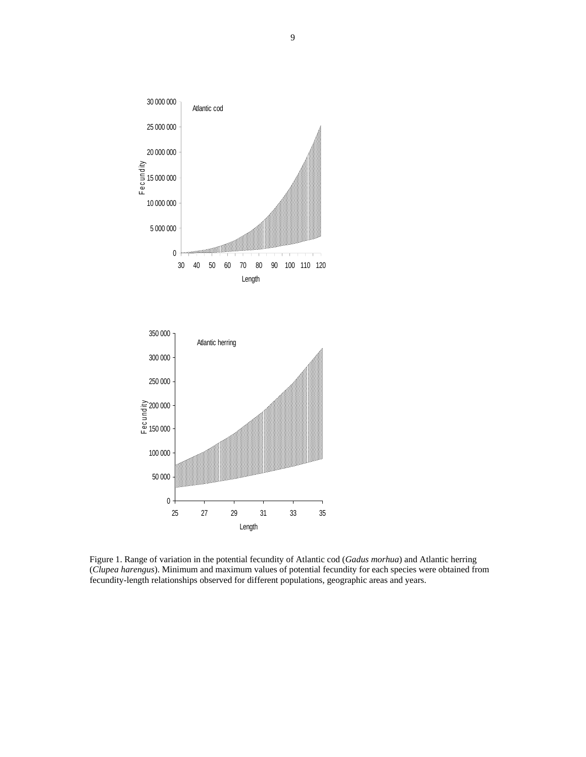

Figure 1. Range of variation in the potential fecundity of Atlantic cod (*Gadus morhua*) and Atlantic herring (*Clupea harengus*). Minimum and maximum values of potential fecundity for each species were obtained from fecundity-length relationships observed for different populations, geographic areas and years.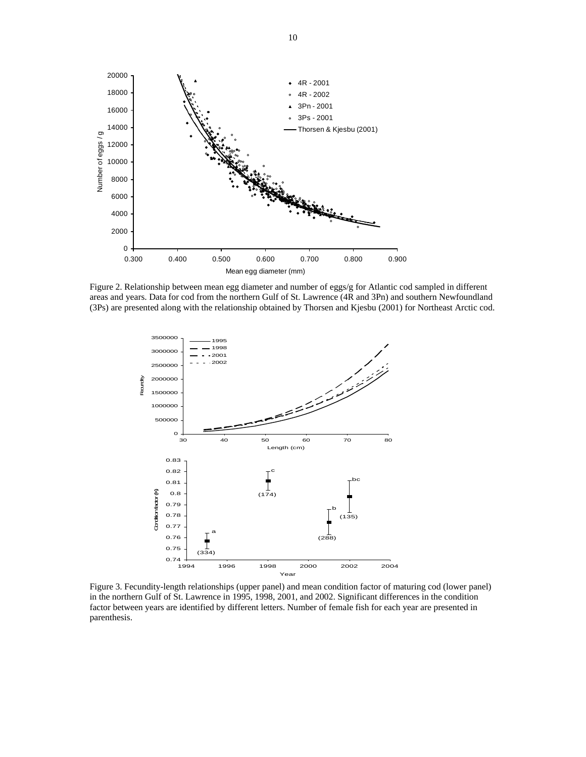

Figure 2. Relationship between mean egg diameter and number of eggs/g for Atlantic cod sampled in different areas and years. Data for cod from the northern Gulf of St. Lawrence (4R and 3Pn) and southern Newfoundland (3Ps) are presented along with the relationship obtained by Thorsen and Kjesbu (2001) for Northeast Arctic cod.



Figure 3. Fecundity-length relationships (upper panel) and mean condition factor of maturing cod (lower panel) in the northern Gulf of St. Lawrence in 1995, 1998, 2001, and 2002. Significant differences in the condition factor between years are identified by different letters. Number of female fish for each year are presented in parenthesis.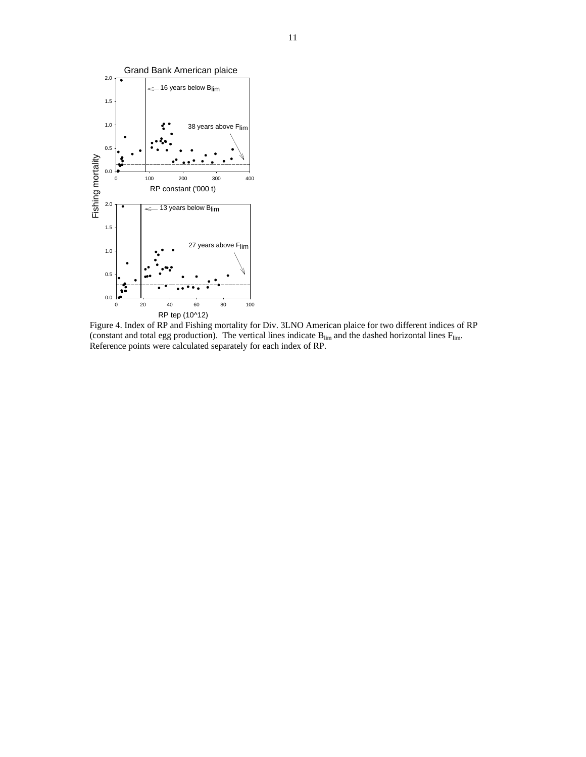

Figure 4. Index of RP and Fishing mortality for Div. 3LNO American plaice for two different indices of RP (constant and total egg production). The vertical lines indicate  $B_{lim}$  and the dashed horizontal lines  $F_{lim}$ . Reference points were calculated separately for each index of RP.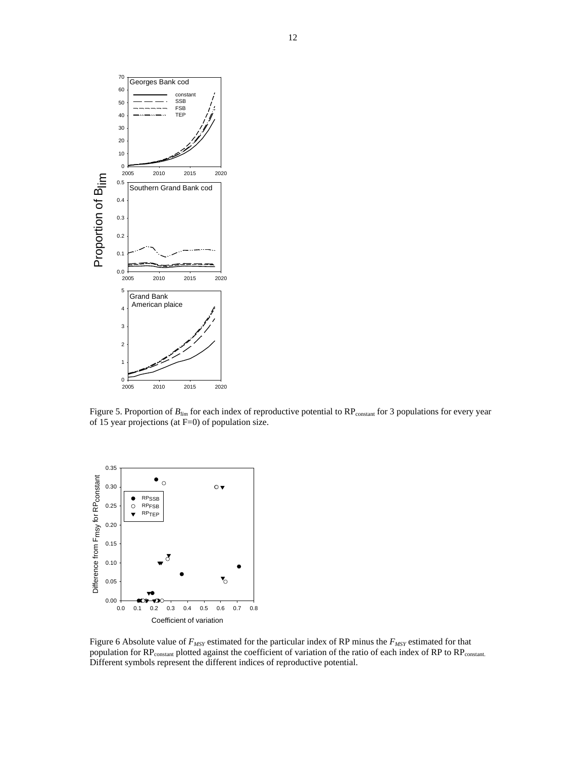

Figure 5. Proportion of  $B_{lim}$  for each index of reproductive potential to RP<sub>constant</sub> for 3 populations for every year of 15 year projections (at F=0) of population size.



Figure 6 Absolute value of *FMSY* estimated for the particular index of RP minus the *FMSY* estimated for that population for RP<sub>constant</sub> plotted against the coefficient of variation of the ratio of each index of RP to RP<sub>constant.</sub> Different symbols represent the different indices of reproductive potential.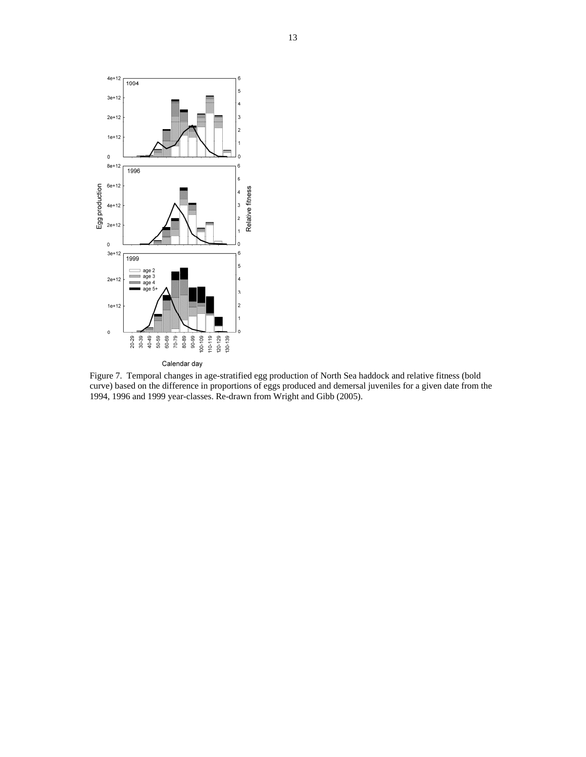

Figure 7. Temporal changes in age-stratified egg production of North Sea haddock and relative fitness (bold curve) based on the difference in proportions of eggs produced and demersal juveniles for a given date from the 1994, 1996 and 1999 year-classes. Re-drawn from Wright and Gibb (2005).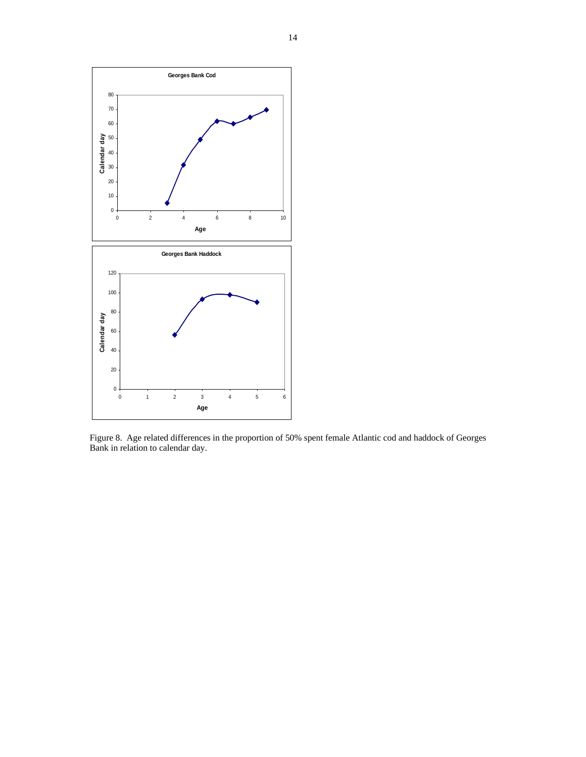

Figure 8. Age related differences in the proportion of 50% spent female Atlantic cod and haddock of Georges Bank in relation to calendar day.